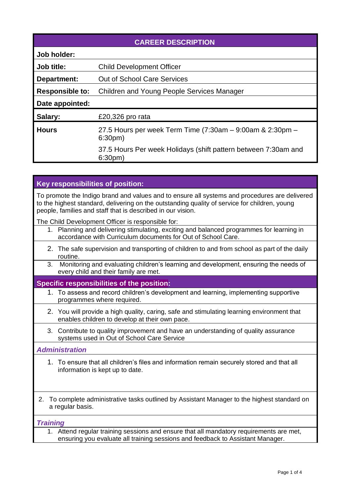| <b>CAREER DESCRIPTION</b> |                                                                                      |  |  |  |
|---------------------------|--------------------------------------------------------------------------------------|--|--|--|
| Job holder:               |                                                                                      |  |  |  |
| Job title:                | <b>Child Development Officer</b>                                                     |  |  |  |
| Department:               | <b>Out of School Care Services</b>                                                   |  |  |  |
| <b>Responsible to:</b>    | <b>Children and Young People Services Manager</b>                                    |  |  |  |
| Date appointed:           |                                                                                      |  |  |  |
| Salary:                   | £20,326 pro rata                                                                     |  |  |  |
| <b>Hours</b>              | 27.5 Hours per week Term Time $(7:30am - 9:00am - 2:30pm -$<br>6:30 <sub>pm</sub>    |  |  |  |
|                           | 37.5 Hours Per week Holidays (shift pattern between 7:30am and<br>6:30 <sub>pm</sub> |  |  |  |

# **Key responsibilities of position:**

To promote the Indigo brand and values and to ensure all systems and procedures are delivered to the highest standard, delivering on the outstanding quality of service for children, young people, families and staff that is described in our vision.

The Child Development Officer is responsible for:

| 1. Planning and delivering stimulating, exciting and balanced programmes for learning in |
|------------------------------------------------------------------------------------------|
| accordance with Curriculum documents for Out of School Care.                             |

- 2. The safe supervision and transporting of children to and from school as part of the daily routine.
- 3. Monitoring and evaluating children's learning and development, ensuring the needs of every child and their family are met.

### **Specific responsibilities of the position:**

- 1. To assess and record children's development and learning, implementing supportive programmes where required.
- 2. You will provide a high quality, caring, safe and stimulating learning environment that enables children to develop at their own pace.
- 3. Contribute to quality improvement and have an understanding of quality assurance systems used in Out of School Care Service

## *Administration*

- 1. To ensure that all children's files and information remain securely stored and that all information is kept up to date.
- 2. To complete administrative tasks outlined by Assistant Manager to the highest standard on a regular basis.

#### *Training*

1. Attend regular training sessions and ensure that all mandatory requirements are met, ensuring you evaluate all training sessions and feedback to Assistant Manager.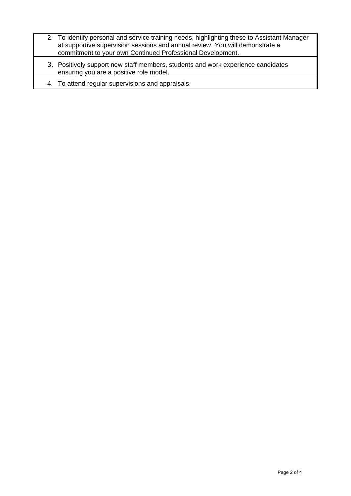| 2. To identify personal and service training needs, highlighting these to Assistant Manager                                 |
|-----------------------------------------------------------------------------------------------------------------------------|
| at supportive supervision sessions and annual review. You will demonstrate a                                                |
| commitment to your own Continued Professional Development.                                                                  |
| 3. Positively support new staff members, students and work experience candidates<br>ensuring you are a positive role model. |

4. To attend regular supervisions and appraisals.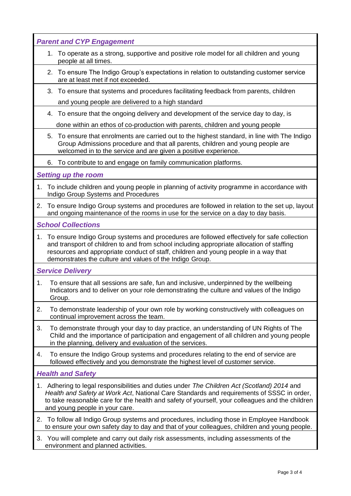| <b>Parent and CYP Engagement</b>                                                                                                                                                                                                                                                                                                              |  |  |
|-----------------------------------------------------------------------------------------------------------------------------------------------------------------------------------------------------------------------------------------------------------------------------------------------------------------------------------------------|--|--|
| To operate as a strong, supportive and positive role model for all children and young<br>1.<br>people at all times.                                                                                                                                                                                                                           |  |  |
| 2. To ensure The Indigo Group's expectations in relation to outstanding customer service<br>are at least met if not exceeded.                                                                                                                                                                                                                 |  |  |
| 3. To ensure that systems and procedures facilitating feedback from parents, children                                                                                                                                                                                                                                                         |  |  |
| and young people are delivered to a high standard                                                                                                                                                                                                                                                                                             |  |  |
| To ensure that the ongoing delivery and development of the service day to day, is<br>4.                                                                                                                                                                                                                                                       |  |  |
| done within an ethos of co-production with parents, children and young people                                                                                                                                                                                                                                                                 |  |  |
| 5. To ensure that enrolments are carried out to the highest standard, in line with The Indigo<br>Group Admissions procedure and that all parents, children and young people are<br>welcomed in to the service and are given a positive experience.                                                                                            |  |  |
| 6. To contribute to and engage on family communication platforms.                                                                                                                                                                                                                                                                             |  |  |
| <b>Setting up the room</b>                                                                                                                                                                                                                                                                                                                    |  |  |
| To include children and young people in planning of activity programme in accordance with<br>1.<br>Indigo Group Systems and Procedures                                                                                                                                                                                                        |  |  |
| 2. To ensure Indigo Group systems and procedures are followed in relation to the set up, layout<br>and ongoing maintenance of the rooms in use for the service on a day to day basis.                                                                                                                                                         |  |  |
| <b>School Collections</b>                                                                                                                                                                                                                                                                                                                     |  |  |
| 1. To ensure Indigo Group systems and procedures are followed effectively for safe collection<br>and transport of children to and from school including appropriate allocation of staffing<br>resources and appropriate conduct of staff, children and young people in a way that<br>demonstrates the culture and values of the Indigo Group. |  |  |
| <b>Service Delivery</b>                                                                                                                                                                                                                                                                                                                       |  |  |
| To ensure that all sessions are safe, fun and inclusive, underpinned by the wellbeing<br>1.<br>Indicators and to deliver on your role demonstrating the culture and values of the Indigo<br>Group.                                                                                                                                            |  |  |
| 2.<br>To demonstrate leadership of your own role by working constructively with colleagues on<br>continual improvement across the team.                                                                                                                                                                                                       |  |  |
| 3.<br>To demonstrate through your day to day practice, an understanding of UN Rights of The<br>Child and the importance of participation and engagement of all children and young people<br>in the planning, delivery and evaluation of the services.                                                                                         |  |  |
| To ensure the Indigo Group systems and procedures relating to the end of service are<br>4.<br>followed effectively and you demonstrate the highest level of customer service.                                                                                                                                                                 |  |  |
| <b>Health and Safety</b>                                                                                                                                                                                                                                                                                                                      |  |  |
| 1. Adhering to legal responsibilities and duties under The Children Act (Scotland) 2014 and<br>Health and Safety at Work Act, National Care Standards and requirements of SSSC in order,<br>to take reasonable care for the health and safety of yourself, your colleagues and the children<br>and young people in your care.                 |  |  |
| 2. To follow all Indigo Group systems and procedures, including those in Employee Handbook<br>to ensure your own safety day to day and that of your colleagues, children and young people.                                                                                                                                                    |  |  |
| You will complete and carry out daily risk assessments, including assessments of the<br>3.<br>environment and planned activities.                                                                                                                                                                                                             |  |  |